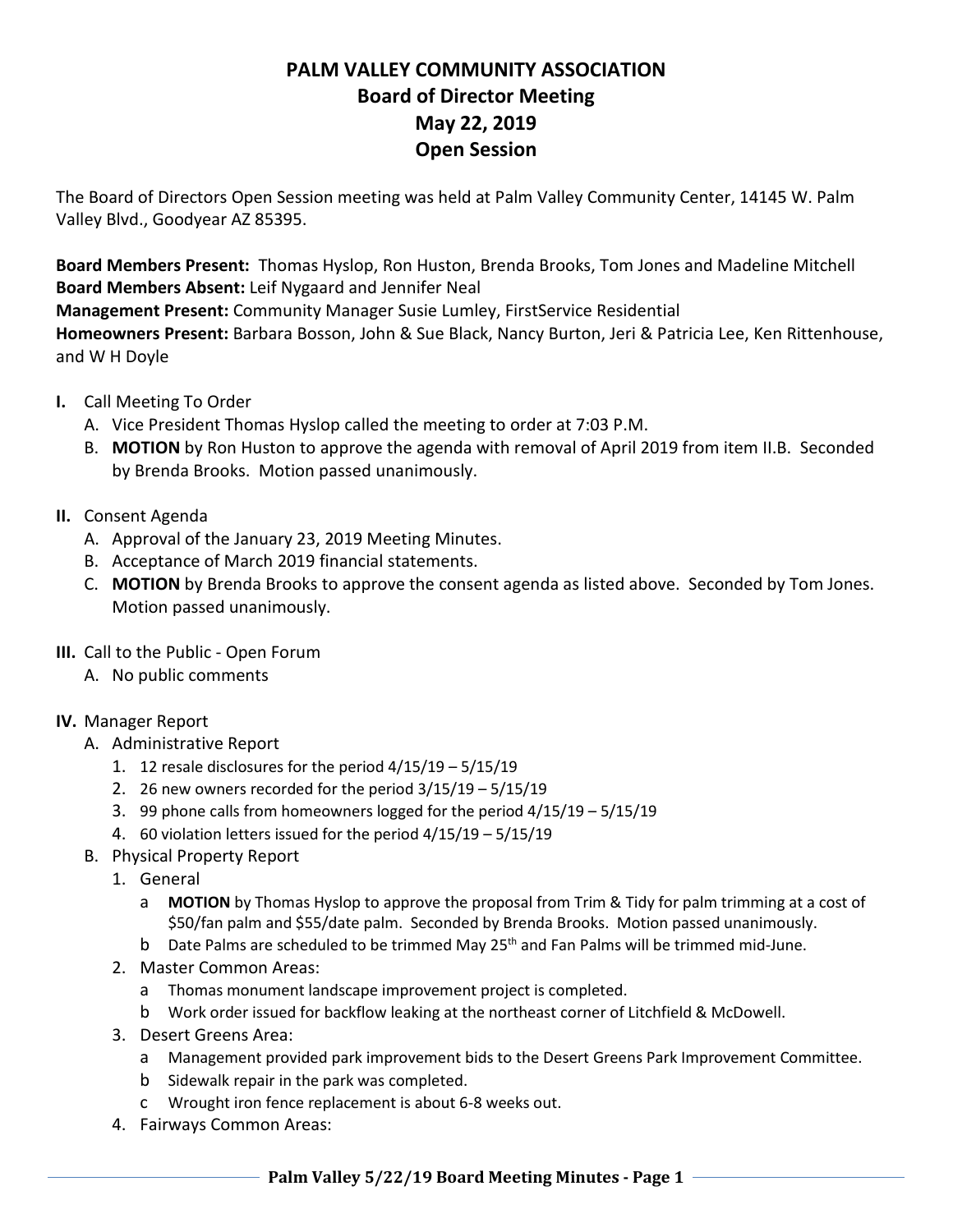## **PALM VALLEY COMMUNITY ASSOCIATION Board of Director Meeting May 22, 2019 Open Session**

The Board of Directors Open Session meeting was held at Palm Valley Community Center, 14145 W. Palm Valley Blvd., Goodyear AZ 85395.

**Board Members Present:** Thomas Hyslop, Ron Huston, Brenda Brooks, Tom Jones and Madeline Mitchell **Board Members Absent:** Leif Nygaard and Jennifer Neal

**Management Present:** Community Manager Susie Lumley, FirstService Residential

**Homeowners Present:** Barbara Bosson, John & Sue Black, Nancy Burton, Jeri & Patricia Lee, Ken Rittenhouse, and W H Doyle

- **I.** Call Meeting To Order
	- A. Vice President Thomas Hyslop called the meeting to order at 7:03 P.M.
	- B. **MOTION** by Ron Huston to approve the agenda with removal of April 2019 from item II.B. Seconded by Brenda Brooks. Motion passed unanimously.
- **II.** Consent Agenda
	- A. Approval of the January 23, 2019 Meeting Minutes.
	- B. Acceptance of March 2019 financial statements.
	- C. **MOTION** by Brenda Brooks to approve the consent agenda as listed above. Seconded by Tom Jones. Motion passed unanimously.
- **III.** Call to the Public Open Forum
	- A. No public comments
- **IV.** Manager Report
	- A. Administrative Report
		- 1. 12 resale disclosures for the period 4/15/19 5/15/19
		- 2. 26 new owners recorded for the period 3/15/19 5/15/19
		- 3. 99 phone calls from homeowners logged for the period 4/15/19 5/15/19
		- 4. 60 violation letters issued for the period 4/15/19 5/15/19
	- B. Physical Property Report
		- 1. General
			- a **MOTION** by Thomas Hyslop to approve the proposal from Trim & Tidy for palm trimming at a cost of \$50/fan palm and \$55/date palm. Seconded by Brenda Brooks. Motion passed unanimously.
			- b Date Palms are scheduled to be trimmed May  $25<sup>th</sup>$  and Fan Palms will be trimmed mid-June.
		- 2. Master Common Areas:
			- a Thomas monument landscape improvement project is completed.
			- b Work order issued for backflow leaking at the northeast corner of Litchfield & McDowell.
		- 3. Desert Greens Area:
			- a Management provided park improvement bids to the Desert Greens Park Improvement Committee.
			- b Sidewalk repair in the park was completed.
			- c Wrought iron fence replacement is about 6-8 weeks out.
		- 4. Fairways Common Areas: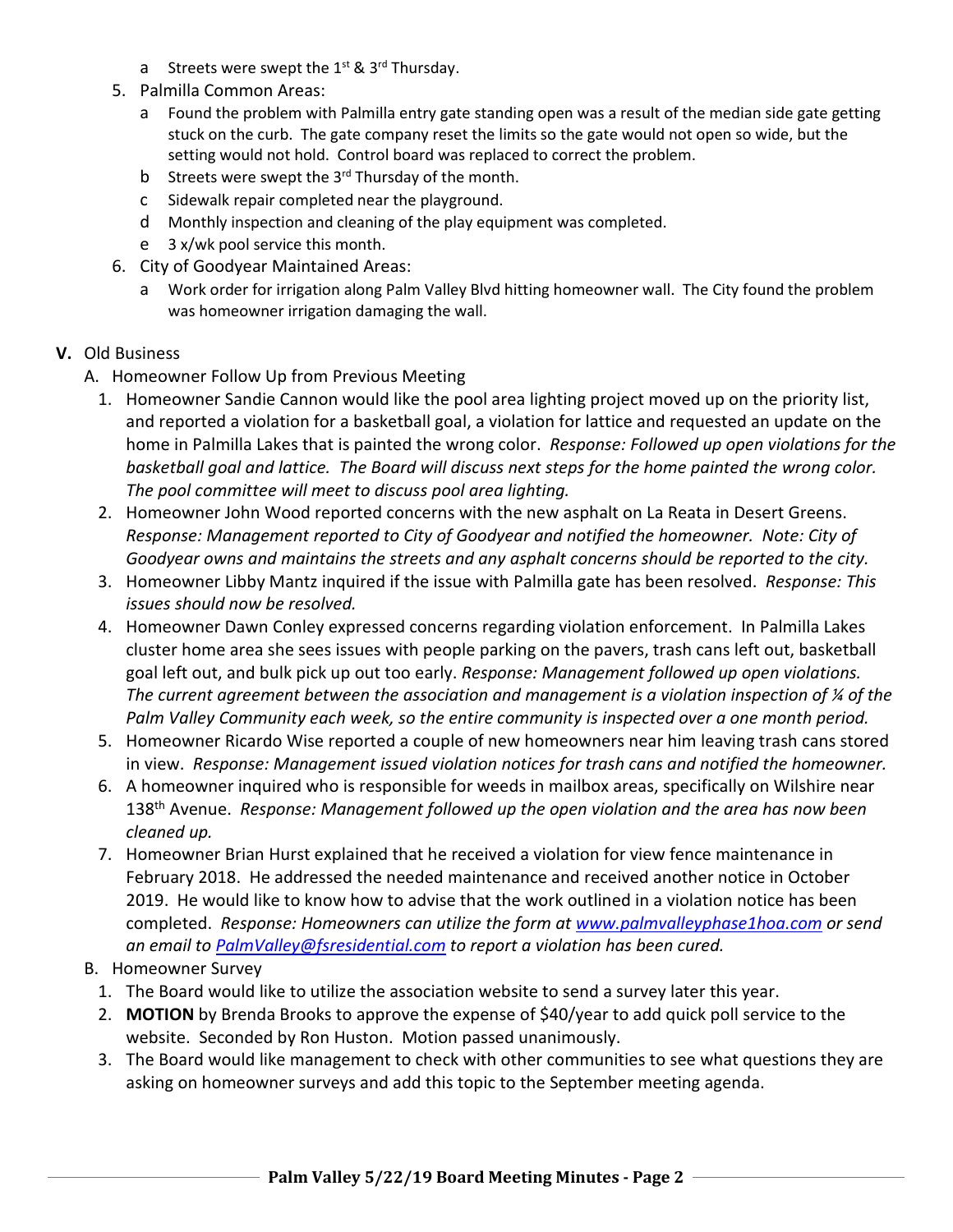- a Streets were swept the  $1^{st}$  &  $3^{rd}$  Thursday.
- 5. Palmilla Common Areas:
	- a Found the problem with Palmilla entry gate standing open was a result of the median side gate getting stuck on the curb. The gate company reset the limits so the gate would not open so wide, but the setting would not hold. Control board was replaced to correct the problem.
	- b Streets were swept the  $3<sup>rd</sup>$  Thursday of the month.
	- c Sidewalk repair completed near the playground.
	- d Monthly inspection and cleaning of the play equipment was completed.
	- e 3 x/wk pool service this month.
- 6. City of Goodyear Maintained Areas:
	- a Work order for irrigation along Palm Valley Blvd hitting homeowner wall. The City found the problem was homeowner irrigation damaging the wall.

## **V.** Old Business

- A. Homeowner Follow Up from Previous Meeting
	- 1. Homeowner Sandie Cannon would like the pool area lighting project moved up on the priority list, and reported a violation for a basketball goal, a violation for lattice and requested an update on the home in Palmilla Lakes that is painted the wrong color. *Response: Followed up open violations for the basketball goal and lattice. The Board will discuss next steps for the home painted the wrong color. The pool committee will meet to discuss pool area lighting.*
	- 2. Homeowner John Wood reported concerns with the new asphalt on La Reata in Desert Greens. *Response: Management reported to City of Goodyear and notified the homeowner. Note: City of Goodyear owns and maintains the streets and any asphalt concerns should be reported to the city.*
	- 3. Homeowner Libby Mantz inquired if the issue with Palmilla gate has been resolved. *Response: This issues should now be resolved.*
	- 4. Homeowner Dawn Conley expressed concerns regarding violation enforcement. In Palmilla Lakes cluster home area she sees issues with people parking on the pavers, trash cans left out, basketball goal left out, and bulk pick up out too early. *Response: Management followed up open violations. The current agreement between the association and management is a violation inspection of ¼ of the Palm Valley Community each week, so the entire community is inspected over a one month period.*
	- 5. Homeowner Ricardo Wise reported a couple of new homeowners near him leaving trash cans stored in view. *Response: Management issued violation notices for trash cans and notified the homeowner.*
	- 6. A homeowner inquired who is responsible for weeds in mailbox areas, specifically on Wilshire near 138th Avenue. *Response: Management followed up the open violation and the area has now been cleaned up.*
	- 7. Homeowner Brian Hurst explained that he received a violation for view fence maintenance in February 2018. He addressed the needed maintenance and received another notice in October 2019. He would like to know how to advise that the work outlined in a violation notice has been completed. *Response: Homeowners can utilize the form at www.palmvalleyphase1hoa.com or send an email to PalmValley@fsresidential.com to report a violation has been cured.*
- B. Homeowner Survey
	- 1. The Board would like to utilize the association website to send a survey later this year.
	- 2. **MOTION** by Brenda Brooks to approve the expense of \$40/year to add quick poll service to the website. Seconded by Ron Huston. Motion passed unanimously.
	- 3. The Board would like management to check with other communities to see what questions they are asking on homeowner surveys and add this topic to the September meeting agenda.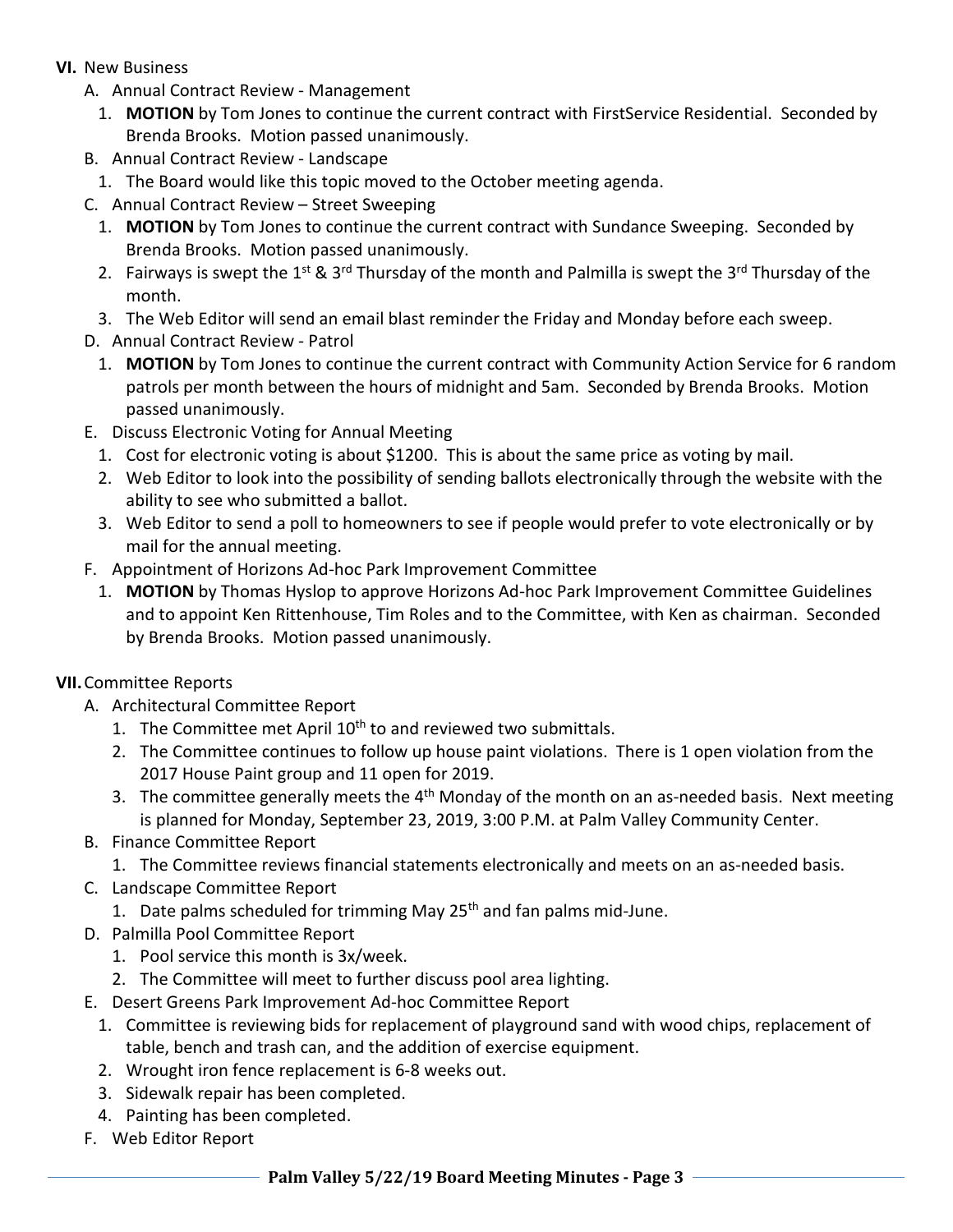- **VI.** New Business
	- A. Annual Contract Review Management
		- 1. **MOTION** by Tom Jones to continue the current contract with FirstService Residential. Seconded by Brenda Brooks. Motion passed unanimously.
	- B. Annual Contract Review Landscape
		- 1. The Board would like this topic moved to the October meeting agenda.
	- C. Annual Contract Review Street Sweeping
		- 1. **MOTION** by Tom Jones to continue the current contract with Sundance Sweeping. Seconded by Brenda Brooks. Motion passed unanimously.
		- 2. Fairways is swept the 1<sup>st</sup> & 3<sup>rd</sup> Thursday of the month and Palmilla is swept the 3<sup>rd</sup> Thursday of the month.
		- 3. The Web Editor will send an email blast reminder the Friday and Monday before each sweep.
	- D. Annual Contract Review Patrol
		- 1. **MOTION** by Tom Jones to continue the current contract with Community Action Service for 6 random patrols per month between the hours of midnight and 5am. Seconded by Brenda Brooks. Motion passed unanimously.
	- E. Discuss Electronic Voting for Annual Meeting
		- 1. Cost for electronic voting is about \$1200. This is about the same price as voting by mail.
		- 2. Web Editor to look into the possibility of sending ballots electronically through the website with the ability to see who submitted a ballot.
		- 3. Web Editor to send a poll to homeowners to see if people would prefer to vote electronically or by mail for the annual meeting.
	- F. Appointment of Horizons Ad-hoc Park Improvement Committee
		- 1. **MOTION** by Thomas Hyslop to approve Horizons Ad-hoc Park Improvement Committee Guidelines and to appoint Ken Rittenhouse, Tim Roles and to the Committee, with Ken as chairman. Seconded by Brenda Brooks. Motion passed unanimously.

## **VII.**Committee Reports

- A. Architectural Committee Report
	- 1. The Committee met April 10<sup>th</sup> to and reviewed two submittals.
	- 2. The Committee continues to follow up house paint violations. There is 1 open violation from the 2017 House Paint group and 11 open for 2019.
	- 3. The committee generally meets the  $4<sup>th</sup>$  Monday of the month on an as-needed basis. Next meeting is planned for Monday, September 23, 2019, 3:00 P.M. at Palm Valley Community Center.
- B. Finance Committee Report
	- 1. The Committee reviews financial statements electronically and meets on an as-needed basis.
- C. Landscape Committee Report
	- 1. Date palms scheduled for trimming May  $25<sup>th</sup>$  and fan palms mid-June.
- D. Palmilla Pool Committee Report
	- 1. Pool service this month is 3x/week.
	- 2. The Committee will meet to further discuss pool area lighting.
- E. Desert Greens Park Improvement Ad-hoc Committee Report
	- 1. Committee is reviewing bids for replacement of playground sand with wood chips, replacement of table, bench and trash can, and the addition of exercise equipment.
	- 2. Wrought iron fence replacement is 6-8 weeks out.
	- 3. Sidewalk repair has been completed.
	- 4. Painting has been completed.
- F. Web Editor Report